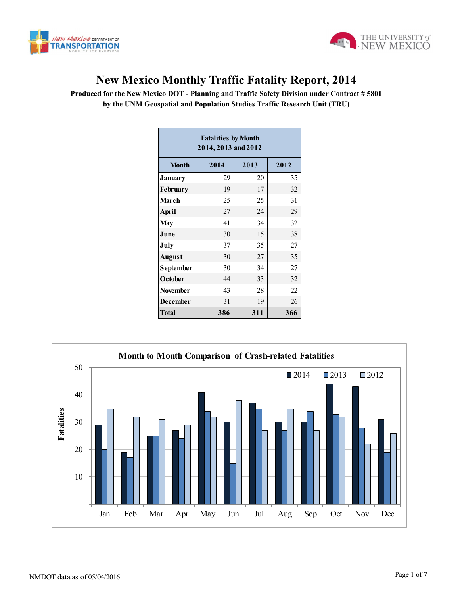



## **New Mexico Monthly Traffic Fatality Report, 2014**

**Produced for the New Mexico DOT - Planning and Traffic Safety Division under Contract # 5801 by the UNM Geospatial and Population Studies Traffic Research Unit (TRU)**

| <b>Fatalities by Month</b><br>2014, 2013 and 2012 |      |      |      |  |  |  |  |  |  |
|---------------------------------------------------|------|------|------|--|--|--|--|--|--|
| <b>Month</b>                                      | 2014 | 2013 | 2012 |  |  |  |  |  |  |
| <b>January</b>                                    | 29   | 20   | 35   |  |  |  |  |  |  |
| February                                          | 19   | 17   | 32   |  |  |  |  |  |  |
| <b>March</b>                                      | 25   | 25   | 31   |  |  |  |  |  |  |
| <b>April</b>                                      | 27   | 24   | 29   |  |  |  |  |  |  |
| <b>May</b>                                        | 41   | 34   | 32   |  |  |  |  |  |  |
| June                                              | 30   | 15   | 38   |  |  |  |  |  |  |
| July                                              | 37   | 35   | 27   |  |  |  |  |  |  |
| August                                            | 30   | 27   | 35   |  |  |  |  |  |  |
| September                                         | 30   | 34   | 27   |  |  |  |  |  |  |
| October                                           | 44   | 33   | 32   |  |  |  |  |  |  |
| <b>November</b>                                   | 43   | 28   | 22   |  |  |  |  |  |  |
| <b>December</b>                                   | 31   | 19   | 26   |  |  |  |  |  |  |
| <b>Total</b>                                      | 386  | 311  | 366  |  |  |  |  |  |  |

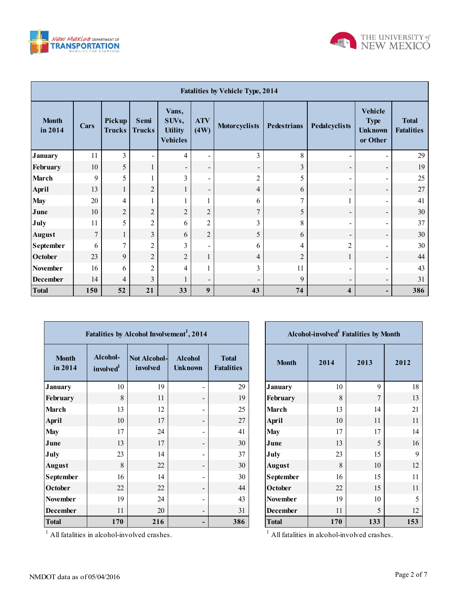



| <b>Fatalities by Vehicle Type, 2014</b> |                  |                         |                          |                                                     |                          |                          |                    |                          |                                                             |                                   |
|-----------------------------------------|------------------|-------------------------|--------------------------|-----------------------------------------------------|--------------------------|--------------------------|--------------------|--------------------------|-------------------------------------------------------------|-----------------------------------|
| <b>Month</b><br>in 2014                 | Cars             | Pickup<br><b>Trucks</b> | Semi<br><b>Trucks</b>    | Vans,<br>SUVs,<br><b>Utility</b><br><b>Vehicles</b> | <b>ATV</b><br>(4W)       | <b>Motorcyclists</b>     | <b>Pedestrians</b> | Pedalcyclists            | <b>Vehicle</b><br><b>Type</b><br><b>Unknown</b><br>or Other | <b>Total</b><br><b>Fatalities</b> |
| <b>January</b>                          | 11               | 3                       | $\overline{\phantom{a}}$ | $\overline{4}$                                      | -                        | 3                        | 8                  | $\blacksquare$           | $\overline{\phantom{0}}$                                    | 29                                |
| February                                | 10               | 5                       | $\mathbf{1}$             | $\overline{\phantom{a}}$                            | $\blacksquare$           | $\overline{\phantom{a}}$ | $\mathfrak{Z}$     | $\overline{\phantom{a}}$ | $\overline{\phantom{a}}$                                    | 19                                |
| <b>March</b>                            | 9                | 5                       | 1                        | 3                                                   | $\blacksquare$           | $\overline{2}$           | 5                  | $\overline{\phantom{a}}$ | $\overline{\phantom{0}}$                                    | 25                                |
| April                                   | 13               | 1                       | $\overline{2}$           | 1                                                   | $\overline{\phantom{a}}$ | 4                        | 6                  | $\overline{\phantom{a}}$ | $\overline{\phantom{a}}$                                    | 27                                |
| <b>May</b>                              | 20               | 4                       | 1                        |                                                     |                          | 6                        | $\overline{7}$     |                          | $\overline{\phantom{0}}$                                    | 41                                |
| June                                    | 10               | $\overline{2}$          | $\overline{2}$           | $\overline{c}$                                      | $\overline{2}$           | $\overline{7}$           | 5                  | $\overline{\phantom{a}}$ | $\overline{\phantom{a}}$                                    | 30                                |
| July                                    | 11               | 5                       | $\overline{2}$           | 6                                                   | $\overline{2}$           | 3                        | 8                  | $\overline{\phantom{a}}$ | $\overline{\phantom{0}}$                                    | 37                                |
| <b>August</b>                           | $\boldsymbol{7}$ | 1                       | $\overline{3}$           | 6                                                   | $\overline{2}$           | 5                        | 6                  | $\overline{\phantom{a}}$ | $\overline{\phantom{a}}$                                    | 30                                |
| <b>September</b>                        | 6                | $\overline{7}$          | $\overline{2}$           | 3                                                   | $\overline{\phantom{a}}$ | 6                        | 4                  | $\overline{2}$           | -                                                           | 30                                |
| October                                 | 23               | 9                       | $\overline{2}$           | $\overline{2}$                                      | $\mathbf{1}$             | 4                        | $\overline{2}$     | 1                        | $\blacksquare$                                              | 44                                |
| November                                | 16               | 6                       | $\overline{2}$           | 4                                                   |                          | 3                        | 11                 | $\overline{\phantom{a}}$ | -                                                           | 43                                |
| <b>December</b>                         | 14               | 4                       | $\overline{3}$           | $\mathbf{1}$                                        | $\blacksquare$           |                          | 9                  | $\overline{\phantom{a}}$ | $\blacksquare$                                              | 31                                |
| <b>Total</b>                            | 150              | 52                      | 21                       | 33                                                  | 9                        | 43                       | 74                 | $\overline{\mathbf{4}}$  | -                                                           | 386                               |

Г

| Fatalities by Alcohol Involvement <sup>1</sup> , 2014 |                                   |                                 |                                  |                                   |  |  |  |  |  |  |
|-------------------------------------------------------|-----------------------------------|---------------------------------|----------------------------------|-----------------------------------|--|--|--|--|--|--|
| <b>Month</b><br>in 2014                               | Alcohol-<br>involved <sup>1</sup> | <b>Not Alcohol-</b><br>involved | <b>Alcohol</b><br><b>Unknown</b> | <b>Total</b><br><b>Fatalities</b> |  |  |  |  |  |  |
| <b>January</b>                                        | 10                                | 19                              |                                  | 29                                |  |  |  |  |  |  |
| February                                              | 8                                 | 11                              |                                  | 19                                |  |  |  |  |  |  |
| <b>March</b>                                          | 13                                | 12                              |                                  | 25                                |  |  |  |  |  |  |
| <b>April</b>                                          | 10                                | 17                              |                                  | 27                                |  |  |  |  |  |  |
| <b>May</b>                                            | 17                                | 24                              |                                  | 41                                |  |  |  |  |  |  |
| June                                                  | 13                                | 17                              |                                  | 30                                |  |  |  |  |  |  |
| July                                                  | 23                                | 14                              |                                  | 37                                |  |  |  |  |  |  |
| <b>August</b>                                         | 8                                 | 22                              |                                  | 30                                |  |  |  |  |  |  |
| September                                             | 16                                | 14                              |                                  | 30                                |  |  |  |  |  |  |
| October                                               | 22                                | 22                              |                                  | 44                                |  |  |  |  |  |  |
| <b>November</b>                                       | 19                                | 24                              |                                  | 43                                |  |  |  |  |  |  |
| <b>December</b>                                       | 11                                | 20                              |                                  | 31                                |  |  |  |  |  |  |
| <b>Total</b>                                          | 170                               | 216                             |                                  | 386                               |  |  |  |  |  |  |

| Alcohol-involved <sup>1</sup> Fatalities by Month |      |        |      |  |  |  |  |  |  |
|---------------------------------------------------|------|--------|------|--|--|--|--|--|--|
| <b>Month</b>                                      | 2014 | 2013   | 2012 |  |  |  |  |  |  |
| <b>January</b>                                    | 10   | 9      | 18   |  |  |  |  |  |  |
| February                                          | 8    | $\tau$ | 13   |  |  |  |  |  |  |
| March                                             | 13   | 14     | 21   |  |  |  |  |  |  |
| <b>April</b>                                      | 10   | 11     | 11   |  |  |  |  |  |  |
| <b>May</b>                                        | 17   | 17     | 14   |  |  |  |  |  |  |
| June                                              | 13   | 5      | 16   |  |  |  |  |  |  |
| July                                              | 23   | 15     | 9    |  |  |  |  |  |  |
| <b>August</b>                                     | 8    | 10     | 12   |  |  |  |  |  |  |
| September                                         | 16   | 15     | 11   |  |  |  |  |  |  |
| October                                           | 22   | 15     | 11   |  |  |  |  |  |  |
| <b>November</b>                                   | 19   | 10     | 5    |  |  |  |  |  |  |
| <b>December</b>                                   | 11   | 5      | 12   |  |  |  |  |  |  |
| <b>Total</b>                                      | 170  | 133    | 153  |  |  |  |  |  |  |

<sup>1</sup> All fatalities in alcohol-involved crashes.

<sup>1</sup> All fatalities in alcohol-involved crashes.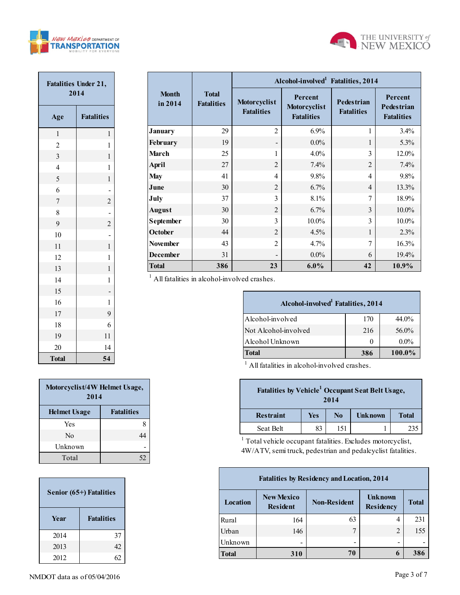



| <b>Fatalities Under 21,</b><br>2014 |                                        |  |  |  |  |  |
|-------------------------------------|----------------------------------------|--|--|--|--|--|
| Age                                 | <b>Fatalities</b>                      |  |  |  |  |  |
| $\mathbf{1}$                        | 1                                      |  |  |  |  |  |
| $\overline{c}$                      | $\mathbf{1}$                           |  |  |  |  |  |
| $\overline{\mathbf{3}}$             | $\mathbf{1}$                           |  |  |  |  |  |
| $\overline{4}$                      | $\mathbf{1}$                           |  |  |  |  |  |
| 5                                   | $\mathbf{1}$                           |  |  |  |  |  |
| 6                                   |                                        |  |  |  |  |  |
| $\overline{7}$                      | $\begin{array}{c} 2 \\ -2 \end{array}$ |  |  |  |  |  |
| 8                                   |                                        |  |  |  |  |  |
| 9                                   |                                        |  |  |  |  |  |
| 10                                  |                                        |  |  |  |  |  |
| 11                                  | $\mathbf{1}$                           |  |  |  |  |  |
| 12                                  | $\mathbf{1}$                           |  |  |  |  |  |
| 13                                  | $\mathbf{1}$                           |  |  |  |  |  |
| 14                                  | $\mathbf{1}$                           |  |  |  |  |  |
| 15                                  |                                        |  |  |  |  |  |
| 16                                  | $\mathbf{1}$                           |  |  |  |  |  |
| 17                                  | 9                                      |  |  |  |  |  |
| 18                                  | 6                                      |  |  |  |  |  |
| 19                                  | 11                                     |  |  |  |  |  |
| 20                                  | 14                                     |  |  |  |  |  |
| <b>Total</b>                        | 54                                     |  |  |  |  |  |

|                         |                                   | Alcohol-involved Fatalities, 2014 |                                              |                                        |                                                   |  |  |  |  |
|-------------------------|-----------------------------------|-----------------------------------|----------------------------------------------|----------------------------------------|---------------------------------------------------|--|--|--|--|
| <b>Month</b><br>in 2014 | <b>Total</b><br><b>Fatalities</b> | Motorcyclist<br><b>Fatalities</b> | Percent<br>Motorcyclist<br><b>Fatalities</b> | <b>Pedestrian</b><br><b>Fatalities</b> | Percent<br><b>Pedestrian</b><br><b>Fatalities</b> |  |  |  |  |
| <b>January</b>          | 29                                | $\overline{2}$                    | $6.9\%$                                      |                                        | 3.4%                                              |  |  |  |  |
| <b>February</b>         | 19                                |                                   | $0.0\%$                                      | 1                                      | 5.3%                                              |  |  |  |  |
| <b>March</b>            | 25                                | 1                                 | 4.0%                                         | $\mathcal{E}$                          | 12.0%                                             |  |  |  |  |
| April                   | 27                                | $\overline{2}$                    | $7.4\%$                                      | $\overline{2}$                         | 7.4%                                              |  |  |  |  |
| <b>May</b>              | 41                                | $\overline{4}$                    | 9.8%                                         | $\overline{4}$                         | 9.8%                                              |  |  |  |  |
| June                    | 30                                | $\overline{2}$                    | 6.7%                                         | $\overline{4}$                         | 13.3%                                             |  |  |  |  |
| July                    | 37                                | 3                                 | 8.1%                                         | $\tau$                                 | 18.9%                                             |  |  |  |  |
| <b>August</b>           | 30                                | $\overline{2}$                    | 6.7%                                         | 3                                      | $10.0\%$                                          |  |  |  |  |
| <b>September</b>        | 30                                | 3                                 | $10.0\%$                                     | 3                                      | $10.0\%$                                          |  |  |  |  |
| October                 | 44                                | $\overline{2}$                    | 4.5%                                         |                                        | 2.3%                                              |  |  |  |  |
| <b>November</b>         | 43                                | $\overline{2}$                    | 4.7%                                         | 7                                      | 16.3%                                             |  |  |  |  |
| <b>December</b>         | 31                                |                                   | $0.0\%$                                      | 6                                      | 19.4%                                             |  |  |  |  |
| <b>Total</b>            | 386                               | 23                                | $6.0\%$                                      | 42                                     | 10.9%                                             |  |  |  |  |

<sup>1</sup> All fatalities in alcohol-involved crashes.

п

| Alcohol-involved <sup>1</sup> Fatalities, 2014 |     |         |  |  |  |  |  |  |
|------------------------------------------------|-----|---------|--|--|--|--|--|--|
| Alcohol-involved                               | 170 | 44.0%   |  |  |  |  |  |  |
| Not Alcohol-involved                           | 216 | 56.0%   |  |  |  |  |  |  |
| Alcohol Unknown                                | 0   | $0.0\%$ |  |  |  |  |  |  |
| <b>Total</b>                                   | 386 | 100.0%  |  |  |  |  |  |  |

<sup>1</sup> All fatalities in alcohol-involved crashes.

| Fatalities by Vehicle <sup>1</sup> Occupant Seat Belt Usage,<br>2014 |     |     |         |              |  |  |  |
|----------------------------------------------------------------------|-----|-----|---------|--------------|--|--|--|
| <b>Restraint</b>                                                     | Yes | No  | Unknown | <b>Total</b> |  |  |  |
| Seat Belt                                                            | 83  | 151 |         | 235          |  |  |  |

<sup>1</sup> Total vehicle occupant fatalities. Excludes motorcyclist, 4W/ATV, semi truck, pedestrian and pedalcyclist fatalities.

| <b>Fatalities by Residency and Location, 2014</b> |                                      |                     |                             |              |  |  |  |  |  |
|---------------------------------------------------|--------------------------------------|---------------------|-----------------------------|--------------|--|--|--|--|--|
| Location                                          | <b>New Mexico</b><br><b>Resident</b> | <b>Non-Resident</b> | <b>Unknown</b><br>Residency | <b>Total</b> |  |  |  |  |  |
| Rural                                             | 164                                  | 63                  | 4                           | 231          |  |  |  |  |  |
| Urban                                             | 146                                  | 7                   | 2                           | 155          |  |  |  |  |  |
| Unknown                                           |                                      | -                   | -                           |              |  |  |  |  |  |
| <b>Total</b>                                      | 310                                  | 70                  | 6                           | 386          |  |  |  |  |  |

| Motorcyclist/4W Helmet Usage,<br>2014 |                   |  |  |  |  |  |
|---------------------------------------|-------------------|--|--|--|--|--|
| <b>Helmet Usage</b>                   | <b>Fatalities</b> |  |  |  |  |  |
| Yes                                   | 8                 |  |  |  |  |  |
| Nο                                    | 44                |  |  |  |  |  |
| Unknown                               |                   |  |  |  |  |  |
| Total                                 | 52                |  |  |  |  |  |

| Senior (65+) Fatalities |                   |  |  |  |  |  |
|-------------------------|-------------------|--|--|--|--|--|
| Year                    | <b>Fatalities</b> |  |  |  |  |  |
| 2014                    | 37                |  |  |  |  |  |
| 2013                    | 42                |  |  |  |  |  |
| 2012                    |                   |  |  |  |  |  |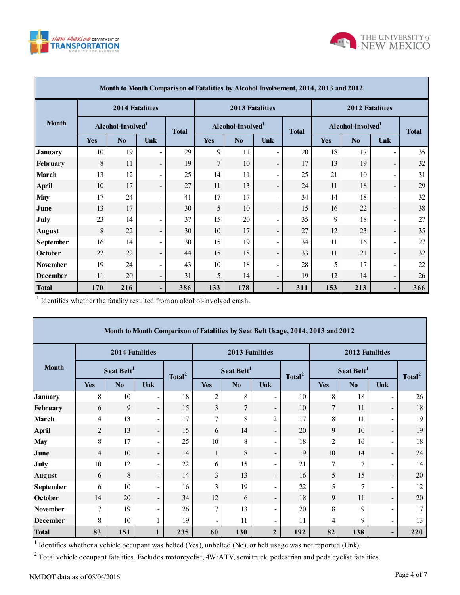



|                 | Month to Month Comparison of Fatalities by Alcohol Involvement, 2014, 2013 and 2012 |                        |                          |     |                |                                               |                          |     |                               |                        |                          |     |
|-----------------|-------------------------------------------------------------------------------------|------------------------|--------------------------|-----|----------------|-----------------------------------------------|--------------------------|-----|-------------------------------|------------------------|--------------------------|-----|
|                 |                                                                                     | <b>2014 Fatalities</b> |                          |     |                | <b>2013 Fatalities</b>                        |                          |     |                               | <b>2012 Fatalities</b> |                          |     |
| <b>Month</b>    | Alcohol-involved <sup>1</sup>                                                       |                        | <b>Total</b>             |     |                | Alcohol-involved <sup>1</sup><br><b>Total</b> |                          |     | Alcohol-involved <sup>1</sup> |                        | <b>Total</b>             |     |
|                 | <b>Yes</b>                                                                          | N <sub>0</sub>         | Unk                      |     | <b>Yes</b>     | N <sub>0</sub>                                | Unk                      |     | <b>Yes</b>                    | N <sub>0</sub>         | Unk                      |     |
| <b>January</b>  | 10                                                                                  | 19                     |                          | 29  | 9              | 11                                            | ÷.                       | 20  | 18                            | 17                     | $\blacksquare$           | 35  |
| February        | 8                                                                                   | 11                     | $\overline{\phantom{a}}$ | 19  | $\overline{7}$ | 10                                            | $\overline{\phantom{a}}$ | 17  | 13                            | 19                     | $\overline{\phantom{a}}$ | 32  |
| March           | 13                                                                                  | 12                     | Ξ.                       | 25  | 14             | 11                                            | $\blacksquare$           | 25  | 21                            | 10                     | $\overline{\phantom{a}}$ | 31  |
| <b>April</b>    | 10                                                                                  | 17                     | $\overline{\phantom{0}}$ | 27  | 11             | 13                                            | $\overline{\phantom{a}}$ | 24  | 11                            | 18                     | $\overline{\phantom{a}}$ | 29  |
| <b>May</b>      | 17                                                                                  | 24                     | Ξ.                       | 41  | 17             | 17                                            | $\blacksquare$           | 34  | 14                            | 18                     | $\blacksquare$           | 32  |
| June            | 13                                                                                  | 17                     | $\overline{\phantom{0}}$ | 30  | 5              | 10                                            | $\overline{\phantom{a}}$ | 15  | 16                            | 22                     | $\overline{\phantom{a}}$ | 38  |
| July            | 23                                                                                  | 14                     | $\overline{\phantom{0}}$ | 37  | 15             | 20                                            | $\blacksquare$           | 35  | 9                             | 18                     | $\blacksquare$           | 27  |
| <b>August</b>   | 8                                                                                   | 22                     | $\overline{\phantom{0}}$ | 30  | 10             | 17                                            | $\overline{\phantom{a}}$ | 27  | 12                            | 23                     | $\overline{\phantom{a}}$ | 35  |
| September       | 16                                                                                  | 14                     | $\overline{\phantom{0}}$ | 30  | 15             | 19                                            | $\blacksquare$           | 34  | 11                            | 16                     | $\blacksquare$           | 27  |
| <b>October</b>  | 22                                                                                  | 22                     | $\overline{\phantom{0}}$ | 44  | 15             | 18                                            | $\overline{\phantom{a}}$ | 33  | 11                            | 21                     | $\overline{\phantom{a}}$ | 32  |
| <b>November</b> | 19                                                                                  | 24                     | $\overline{\phantom{0}}$ | 43  | 10             | 18                                            | $\blacksquare$           | 28  | 5                             | 17                     | $\blacksquare$           | 22  |
| <b>December</b> | 11                                                                                  | 20                     | $\overline{\phantom{a}}$ | 31  | 5              | 14                                            | $\overline{\phantom{a}}$ | 19  | 12                            | 14                     | $\overline{\phantom{a}}$ | 26  |
| <b>Total</b>    | 170                                                                                 | 216                    | -                        | 386 | 133            | 178                                           | -                        | 311 | 153                           | 213                    | $\overline{\phantom{a}}$ | 366 |

<sup>1</sup> Identifies whether the fatality resulted from an alcohol-involved crash.

| Month to Month Comparison of Fatalities by Seat Belt Usage, 2014, 2013 and 2012 |                                                                                                              |                        |                          |                    |                |                        |                          |                    |                 |                        |                          |                    |
|---------------------------------------------------------------------------------|--------------------------------------------------------------------------------------------------------------|------------------------|--------------------------|--------------------|----------------|------------------------|--------------------------|--------------------|-----------------|------------------------|--------------------------|--------------------|
| <b>Month</b>                                                                    |                                                                                                              | 2014 Fatalities        |                          |                    |                | 2013 Fatalities        |                          |                    | 2012 Fatalities |                        |                          |                    |
|                                                                                 |                                                                                                              | Seat Belt <sup>1</sup> |                          | Total <sup>2</sup> |                | Seat Belt <sup>1</sup> |                          | Total <sup>2</sup> |                 | Seat Belt <sup>1</sup> |                          | Total <sup>2</sup> |
|                                                                                 | <b>Yes</b>                                                                                                   | N <sub>0</sub>         | Unk                      |                    | <b>Yes</b>     | N <sub>0</sub>         | <b>Unk</b>               |                    | <b>Yes</b>      | N <sub>0</sub>         | Unk                      |                    |
| <b>January</b>                                                                  | 8                                                                                                            | 10                     |                          | 18                 | 2              | 8                      | $\overline{\phantom{a}}$ | 10                 | 8               | 18                     | $\blacksquare$           | 26                 |
| February                                                                        | 6                                                                                                            | 9                      | $\overline{\phantom{a}}$ | 15                 | $\overline{3}$ | $\overline{7}$         | $\overline{\phantom{a}}$ | 10                 | 7               | 11                     | $\overline{\phantom{a}}$ | 18                 |
| March                                                                           | 4                                                                                                            | 13                     | $\overline{\phantom{0}}$ | 17                 | $\overline{7}$ | 8                      | $\overline{c}$           | 17                 | 8               | 11                     | $\overline{\phantom{a}}$ | 19                 |
| April                                                                           | $\overline{c}$                                                                                               | 13                     | $\overline{\phantom{a}}$ | 15                 | 6              | 14                     | $\overline{\phantom{a}}$ | 20                 | 9               | 10                     | $\overline{\phantom{a}}$ | 19                 |
| <b>May</b>                                                                      | 8                                                                                                            | 17                     | -                        | 25                 | 10             | 8                      | $\overline{\phantom{a}}$ | 18                 | $\overline{2}$  | 16                     | $\blacksquare$           | 18                 |
| June                                                                            | $\overline{4}$                                                                                               | 10                     | $\overline{\phantom{a}}$ | 14                 | 1              | 8                      | $\overline{\phantom{a}}$ | 9                  | 10              | 14                     | $\overline{\phantom{a}}$ | 24                 |
| July                                                                            | 10                                                                                                           | 12                     | -                        | 22                 | 6              | 15                     | $\blacksquare$           | 21                 | 7               | $\overline{7}$         | $\blacksquare$           | 14                 |
| <b>August</b>                                                                   | 6                                                                                                            | 8                      | $\overline{\phantom{a}}$ | 14                 | $\overline{3}$ | 13                     | $\overline{\phantom{a}}$ | 16                 | 5               | 15                     | $\overline{\phantom{a}}$ | 20                 |
| <b>September</b>                                                                | 6                                                                                                            | 10                     | -                        | 16                 | 3              | 19                     | $\blacksquare$           | 22                 | 5               | $\overline{7}$         | $\overline{\phantom{a}}$ | 12                 |
| <b>October</b>                                                                  | 14                                                                                                           | 20                     | $\overline{\phantom{a}}$ | 34                 | 12             | 6                      | $\overline{\phantom{a}}$ | 18                 | 9               | 11                     | $\overline{\phantom{a}}$ | 20                 |
| <b>November</b>                                                                 | 7                                                                                                            | 19                     |                          | 26                 | 7              | 13                     | $\blacksquare$           | 20                 | 8               | 9                      | $\blacksquare$           | 17                 |
| <b>December</b>                                                                 | 8                                                                                                            | 10                     |                          | 19                 |                | 11                     | $\overline{\phantom{a}}$ | 11                 | 4               | 9                      | $\overline{\phantom{a}}$ | 13                 |
| <b>Total</b>                                                                    | 83                                                                                                           | 151                    | 1                        | 235                | 60             | 130                    | $\overline{2}$           | 192                | 82              | 138                    | ٠                        | 220                |
|                                                                                 | Identifies whether a vehicle occupant was belted (Yes), unbelted (No), or belt usage was not reported (Unk). |                        |                          |                    |                |                        |                          |                    |                 |                        |                          |                    |

<sup>2</sup> Total vehicle occupant fatalities. Excludes motorcyclist,  $4W/ATV$ , semi truck, pedestrian and pedalcyclist fatalities.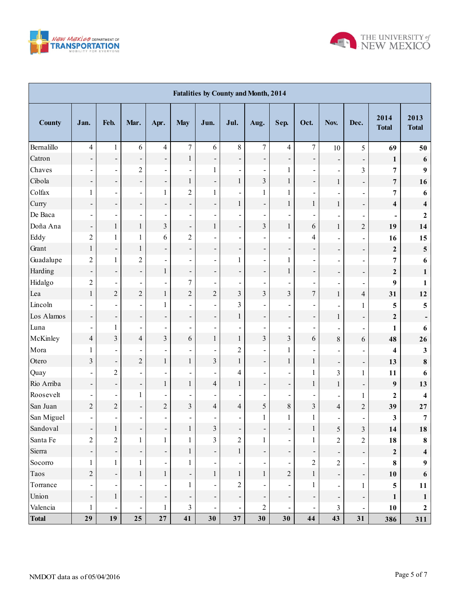



| <b>Fatalities by County and Month, 2014</b> |                              |                          |                              |                              |                              |                          |                              |                          |                          |                          |                          |                              |                         |                         |
|---------------------------------------------|------------------------------|--------------------------|------------------------------|------------------------------|------------------------------|--------------------------|------------------------------|--------------------------|--------------------------|--------------------------|--------------------------|------------------------------|-------------------------|-------------------------|
| <b>County</b>                               | Jan.                         | Feb.                     | Mar.                         | Apr.                         | <b>May</b>                   | Jun.                     | Jul.                         | Aug.                     | Sep.                     | Oct.                     | Nov.                     | Dec.                         | 2014<br><b>Total</b>    | 2013<br><b>Total</b>    |
| Bernalillo                                  | $\overline{4}$               | $\mathbf{1}$             | 6                            | 4                            | $\overline{7}$               | 6                        | $\,8\,$                      | $\tau$                   | $\overline{4}$           | $\boldsymbol{7}$         | 10                       | 5                            | 69                      | 50                      |
| Catron                                      | $\overline{\phantom{0}}$     | T,                       | $\overline{\phantom{a}}$     | -                            | $\mathbf{1}$                 | $\overline{\phantom{a}}$ | $\overline{\phantom{0}}$     | $\overline{\phantom{a}}$ | $\overline{\phantom{a}}$ | $\overline{\phantom{0}}$ | $\overline{\phantom{a}}$ | $\overline{\phantom{0}}$     | $\mathbf{1}$            | 6                       |
| Chaves                                      | $\blacksquare$               | $\blacksquare$           | $\overline{c}$               | $\overline{\phantom{0}}$     | $\overline{\phantom{0}}$     | 1                        | $\overline{\phantom{0}}$     | $\blacksquare$           | $\mathbf{1}$             | $\overline{\phantom{0}}$ | $\blacksquare$           | $\overline{\mathbf{3}}$      | $\overline{\mathbf{7}}$ | 9                       |
| Cibola                                      | $\overline{\phantom{a}}$     | $\frac{1}{\sqrt{2}}$     | $\overline{\phantom{0}}$     | -                            | $\mathbf{1}$                 | $\overline{\phantom{a}}$ | $\mathbf{1}$                 | $\overline{3}$           | $\mathbf{1}$             | $\frac{1}{2}$            | $\mathbf{1}$             | $\qquad \qquad \blacksquare$ | $\overline{7}$          | 16                      |
| Colfax                                      | $\mathbf{1}$                 | $\blacksquare$           | $\blacksquare$               | $\mathbf{1}$                 | $\overline{2}$               | $\mathbf{1}$             |                              | $\mathbf{1}$             | $\mathbf{1}$             |                          |                          | $\qquad \qquad \blacksquare$ | $\overline{7}$          | 6                       |
| Curry                                       | $\overline{\phantom{a}}$     | ÷                        | $\overline{\phantom{0}}$     | $\overline{\phantom{0}}$     | $\qquad \qquad \blacksquare$ | $\overline{\phantom{0}}$ | $\,1$                        | $\overline{\phantom{a}}$ | $\mathbf{1}$             | $\,1$                    | $\mathbf{1}$             | $\overline{\phantom{a}}$     | $\overline{\mathbf{4}}$ | $\overline{\mathbf{4}}$ |
| De Baca                                     | $\overline{\phantom{a}}$     | $\blacksquare$           | $\overline{\phantom{0}}$     | $\overline{\phantom{0}}$     | $\overline{\phantom{a}}$     | $\overline{\phantom{a}}$ |                              | $\overline{\phantom{a}}$ | $\overline{\phantom{a}}$ |                          |                          | $\overline{\phantom{a}}$     |                         | $\boldsymbol{2}$        |
| Doña Ana                                    | $\qquad \qquad \blacksquare$ | $\,1$                    | $\mathbf{1}$                 | $\overline{\mathbf{3}}$      | $\qquad \qquad \blacksquare$ | $\mathbf{1}$             | $\overline{\phantom{0}}$     | $\overline{3}$           | $\mathbf{1}$             | 6                        | $\mathbf{1}$             | $\overline{c}$               | 19                      | 14                      |
| Eddy                                        | $\overline{2}$               | $\mathbf{1}$             | 1                            | 6                            | $\overline{c}$               | $\overline{\phantom{a}}$ | $\overline{\phantom{0}}$     | $\overline{a}$           | $\overline{\phantom{a}}$ | $\overline{\mathcal{L}}$ |                          | $\overline{\phantom{a}}$     | 16                      | 15                      |
| Grant                                       | $\mathbf{1}$                 | $\frac{1}{\sqrt{2}}$     | $\mathbf{1}$                 | $\overline{\phantom{0}}$     | $\qquad \qquad \blacksquare$ | $\overline{\phantom{a}}$ | $\overline{\phantom{0}}$     | $\overline{\phantom{a}}$ | $\overline{\phantom{a}}$ | -                        | $\overline{\phantom{0}}$ | Ξ                            | $\mathbf{2}$            | $\overline{\mathbf{5}}$ |
| Guadalupe                                   | $\overline{c}$               | $\mathbf{1}$             | $\overline{c}$               | $\blacksquare$               | $\overline{\phantom{a}}$     | $\overline{\phantom{a}}$ | $\mathbf{1}$                 | $\overline{\phantom{a}}$ | $\mathbf{1}$             |                          | $\blacksquare$           | $\blacksquare$               | 7                       | 6                       |
| Harding                                     | $\qquad \qquad \blacksquare$ | ÷                        | $\overline{\phantom{0}}$     | $\mathbf{1}$                 | $\qquad \qquad \blacksquare$ | $\overline{\phantom{a}}$ | $\qquad \qquad \blacksquare$ | $\overline{\phantom{a}}$ | $\mathbf{1}$             | -                        | -                        | $\overline{\phantom{a}}$     | $\mathbf{2}$            | $\mathbf{1}$            |
| Hidalgo                                     | $\overline{2}$               | $\blacksquare$           | $\overline{\phantom{0}}$     | ÷,                           | $\sqrt{ }$                   | $\overline{\phantom{a}}$ | $\overline{\phantom{0}}$     | $\overline{\phantom{a}}$ | $\overline{\phantom{a}}$ | $\overline{\phantom{0}}$ |                          | $\overline{\phantom{a}}$     | 9                       | 1                       |
| Lea                                         | $\mathbf{1}$                 | $\overline{c}$           | $\overline{c}$               | $\mathbf{1}$                 | $\overline{c}$               | $\overline{c}$           | $\overline{\mathbf{3}}$      | $\overline{3}$           | $\overline{\mathbf{3}}$  | $\overline{7}$           | $\mathbf{1}$             | $\overline{4}$               | 31                      | 12                      |
| Lincoln                                     |                              | $\blacksquare$           | $\overline{\phantom{0}}$     | $\mathbf{1}$                 | $\overline{\phantom{a}}$     | $\overline{\phantom{a}}$ | $\overline{\mathbf{3}}$      | $\overline{a}$           | $\overline{\phantom{a}}$ |                          |                          | $\mathbf{1}$                 | 5                       | 5                       |
| Los Alamos                                  | $\overline{\phantom{a}}$     | ÷,                       | $\overline{\phantom{0}}$     | $\overline{\phantom{0}}$     | $\qquad \qquad \blacksquare$ | $\overline{\phantom{a}}$ | $\mathbf{1}$                 | $\overline{\phantom{a}}$ | $\overline{\phantom{0}}$ | -                        | $\mathbf{1}$             | $\overline{\phantom{a}}$     | $\mathbf{2}$            |                         |
| Luna                                        | $\overline{\phantom{a}}$     | 1                        | $\qquad \qquad \blacksquare$ | ۰                            | -                            | $\overline{\phantom{a}}$ |                              | $\overline{\phantom{a}}$ | $\blacksquare$           |                          |                          | $\overline{\phantom{a}}$     | 1                       | 6                       |
| McKinley                                    | $\overline{4}$               | $\overline{\mathbf{3}}$  | $\overline{4}$               | $\overline{\mathbf{3}}$      | 6                            | $\,1$                    | $\mathbf{1}$                 | $\overline{\mathbf{3}}$  | $\overline{\mathbf{3}}$  | 6                        | 8                        | 6                            | 48                      | 26                      |
| Mora                                        | $\mathbf{1}$                 | $\blacksquare$           | ÷,                           | ÷,                           | $\overline{\phantom{a}}$     | $\overline{\phantom{a}}$ | $\overline{2}$               | $\overline{\phantom{a}}$ | 1                        |                          |                          | $\blacksquare$               | 4                       | 3                       |
| Otero                                       | $\overline{\mathbf{3}}$      | $\overline{\phantom{0}}$ | $\overline{c}$               | $\mathbf{1}$                 | $\,1$                        | $\overline{\mathbf{3}}$  | $\mathbf{1}$                 | $\overline{\phantom{a}}$ | $\mathbf{1}$             | $\,1$                    | $\overline{\phantom{0}}$ | $\overline{\phantom{0}}$     | 13                      | $\bf 8$                 |
| Quay                                        |                              | $\sqrt{2}$               | $\overline{\phantom{0}}$     |                              | $\overline{\phantom{0}}$     | $\overline{\phantom{a}}$ | 4                            | $\overline{a}$           | $\blacksquare$           | $\mathbf{1}$             | 3                        | $\mathbf{1}$                 | 11                      | 6                       |
| Rio Arriba                                  | $\overline{\phantom{a}}$     | ÷                        | $\overline{\phantom{0}}$     | $\mathbf{1}$                 | $\,1$                        | $\overline{4}$           | $\mathbf{1}$                 | $\overline{\phantom{a}}$ | $\overline{\phantom{a}}$ | $\,1$                    | $\mathbf{1}$             | $\overline{\phantom{a}}$     | 9                       | 13                      |
| Roosevelt                                   | $\overline{\phantom{a}}$     | $\blacksquare$           | 1                            | $\overline{\phantom{0}}$     | $\overline{a}$               | $\overline{\phantom{a}}$ |                              | $\blacksquare$           | $\overline{\phantom{a}}$ |                          | $\blacksquare$           | $\mathbf{1}$                 | $\mathbf{2}$            | 4                       |
| San Juan                                    | $\overline{c}$               | $\overline{c}$           | $\overline{\phantom{0}}$     | $\overline{c}$               | $\overline{\mathbf{3}}$      | $\overline{4}$           | $\overline{4}$               | 5                        | $8\,$                    | $\overline{\mathbf{3}}$  | $\overline{\mathbf{4}}$  | $\overline{c}$               | 39                      | $27\,$                  |
| San Miguel                                  | $\overline{\phantom{a}}$     | $\blacksquare$           | $\blacksquare$               | $\qquad \qquad \blacksquare$ | $\blacksquare$               | $\overline{\phantom{a}}$ | $\overline{\phantom{a}}$     | $\mathbf{1}$             | $\mathbf{1}$             | $\mathbf{1}$             | $\blacksquare$           | $\blacksquare$               | 3                       | $\overline{7}$          |
| Sandoval                                    | $\overline{\phantom{a}}$     | $\,1$                    | -                            | Ť,                           | $\mathbf{1}$                 | $\mathfrak{Z}$           | -                            | $\blacksquare$           | $\overline{\phantom{a}}$ | $\mathbf{1}$             | 5                        | $\mathfrak{Z}$               | 14                      | 18                      |
| Santa Fe                                    | $\overline{2}$               | $\sqrt{2}$               | $\mathbf{1}$                 | $\mathbf{1}$                 | $\mathbf{1}$                 | $\overline{\mathbf{3}}$  | $\overline{2}$               | $\mathbf{1}$             | $\blacksquare$           | $\mathbf{1}$             | $\overline{2}$           | $\overline{2}$               | 18                      | 8                       |
| Sierra                                      | $\overline{\phantom{a}}$     | ÷,                       | $\overline{\phantom{a}}$     | ÷,                           | $\mathbf{1}$                 | $\overline{\phantom{a}}$ | $\mathbf{1}$                 | $\overline{\phantom{0}}$ | $\blacksquare$           | $\overline{\phantom{0}}$ | ÷,                       | $\overline{\phantom{a}}$     | $\mathbf{2}$            | $\overline{\mathbf{4}}$ |
| Socorro                                     | $\mathbf{1}$                 | $\mathbf{1}$             | 1                            | $\qquad \qquad \blacksquare$ | $\mathbf{1}$                 | $\overline{\phantom{a}}$ |                              | $\blacksquare$           | $\blacksquare$           | $\overline{c}$           | $\overline{2}$           | $\blacksquare$               | 8                       | 9                       |
| Taos                                        | $\sqrt{2}$                   | ÷,                       | $\mathbf{1}$                 | $\mathbf{1}$                 | $\qquad \qquad \blacksquare$ | $\mathbf{1}$             | $\mathbf{1}$                 | $\mathbf{1}$             | $\boldsymbol{2}$         | $\mathbf{1}$             | ÷,                       | ÷,                           | 10                      | 6                       |
| Torrance                                    | $\overline{\phantom{a}}$     | $\blacksquare$           |                              | $\blacksquare$               | $\mathbf{1}$                 | $\blacksquare$           | $\boldsymbol{2}$             | $\blacksquare$           | $\blacksquare$           | $\mathbf{1}$             | $\blacksquare$           | $\mathbf{1}$                 | 5                       | 11                      |
| Union                                       | $\overline{\phantom{a}}$     | $\mathbf{1}$             | $\overline{\phantom{0}}$     | ÷,                           | $\overline{\phantom{a}}$     | $\overline{\phantom{a}}$ | $\qquad \qquad \blacksquare$ | $\overline{\phantom{a}}$ | $\overline{\phantom{a}}$ | $\overline{\phantom{a}}$ | ÷,                       | Ξ                            | $\mathbf{1}$            | $\mathbf{1}$            |
| Valencia                                    | $\mathbf{1}$                 | $\blacksquare$           | $\blacksquare$               | $\mathbf{1}$                 | $\overline{\mathbf{3}}$      | $\blacksquare$           | $\qquad \qquad \blacksquare$ | $\overline{2}$           | $\blacksquare$           | $\overline{\phantom{a}}$ | $\overline{3}$           | $\blacksquare$               | 10                      | $\boldsymbol{2}$        |
| <b>Total</b>                                | 29                           | 19                       | 25                           | 27                           | 41                           | 30                       | 37                           | 30                       | 30                       | 44                       | 43                       | 31                           | 386                     | 311                     |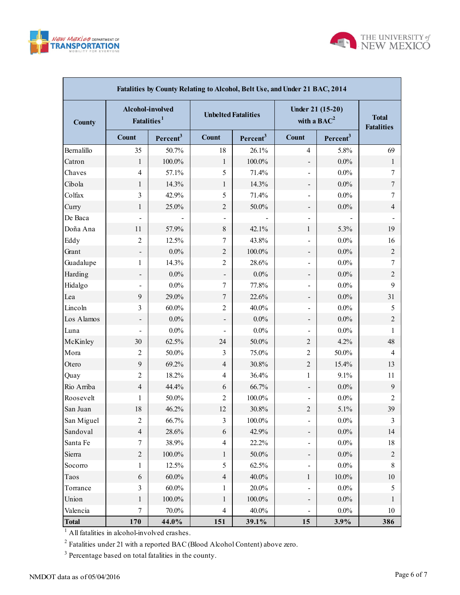



| Fatalities by County Relating to Alcohol, Belt Use, and Under 21 BAC, 2014 |                                             |                      |                            |                      |                                   |                                   |                  |  |  |  |  |  |
|----------------------------------------------------------------------------|---------------------------------------------|----------------------|----------------------------|----------------------|-----------------------------------|-----------------------------------|------------------|--|--|--|--|--|
| <b>County</b>                                                              | Alcohol-involved<br>Fatalities <sup>1</sup> |                      | <b>Unbelted Fatalities</b> |                      | Under 21 (15-20)<br>with a $BAC2$ | <b>Total</b><br><b>Fatalities</b> |                  |  |  |  |  |  |
|                                                                            | <b>Count</b>                                | Percent <sup>3</sup> | <b>Count</b>               | Percent <sup>3</sup> | <b>Count</b>                      | Percent <sup>3</sup>              |                  |  |  |  |  |  |
| Bernalillo                                                                 | 35                                          | 50.7%                | 18                         | 26.1%                | 4                                 | 5.8%                              | 69               |  |  |  |  |  |
| Catron                                                                     | 1                                           | 100.0%               | $\mathbf{1}$               | $100.0\%$            | $\qquad \qquad \blacksquare$      | $0.0\%$                           | $\mathbf{1}$     |  |  |  |  |  |
| Chaves                                                                     | $\overline{4}$                              | 57.1%                | 5                          | 71.4%                | $\overline{\phantom{a}}$          | $0.0\%$                           | 7                |  |  |  |  |  |
| Cibola                                                                     | 1                                           | 14.3%                | $\mathbf{1}$               | 14.3%                | $\overline{\phantom{a}}$          | $0.0\%$                           | $\boldsymbol{7}$ |  |  |  |  |  |
| Colfax                                                                     | 3                                           | 42.9%                | 5                          | 71.4%                | $\overline{\phantom{a}}$          | $0.0\%$                           | 7                |  |  |  |  |  |
| Curry                                                                      | 1                                           | 25.0%                | $\overline{2}$             | $50.0\%$             | $\overline{\phantom{a}}$          | $0.0\%$                           | $\overline{4}$   |  |  |  |  |  |
| De Baca                                                                    | $\overline{\phantom{0}}$                    |                      |                            |                      | $\overline{\phantom{a}}$          |                                   |                  |  |  |  |  |  |
| Doña Ana                                                                   | 11                                          | 57.9%                | 8                          | 42.1%                | 1                                 | 5.3%                              | 19               |  |  |  |  |  |
| Eddy                                                                       | $\overline{2}$                              | 12.5%                | 7                          | 43.8%                | $\overline{\phantom{a}}$          | $0.0\%$                           | 16               |  |  |  |  |  |
| Grant                                                                      |                                             | $0.0\%$              | $\overline{2}$             | 100.0%               | $\overline{\phantom{a}}$          | $0.0\%$                           | $\overline{2}$   |  |  |  |  |  |
| Guadalupe                                                                  | 1                                           | 14.3%                | $\overline{c}$             | 28.6%                | $\overline{\phantom{a}}$          | $0.0\%$                           | 7                |  |  |  |  |  |
| Harding                                                                    |                                             | $0.0\%$              |                            | $0.0\%$              | $\overline{\phantom{a}}$          | $0.0\%$                           | $\overline{2}$   |  |  |  |  |  |
| Hidalgo                                                                    |                                             | $0.0\%$              | 7                          | 77.8%                | $\overline{\phantom{a}}$          | $0.0\%$                           | 9                |  |  |  |  |  |
| Lea                                                                        | 9                                           | 29.0%                | $\tau$                     | 22.6%                | $\overline{\phantom{a}}$          | $0.0\%$                           | 31               |  |  |  |  |  |
| Lincoln                                                                    | 3                                           | $60.0\%$             | $\overline{c}$             | 40.0%                | $\overline{\phantom{a}}$          | $0.0\%$                           | 5                |  |  |  |  |  |
| Los Alamos                                                                 |                                             | $0.0\%$              |                            | $0.0\%$              | $\overline{\phantom{a}}$          | $0.0\%$                           | $\overline{2}$   |  |  |  |  |  |
| Luna                                                                       |                                             | $0.0\%$              |                            | $0.0\%$              | $\overline{\phantom{a}}$          | $0.0\%$                           | 1                |  |  |  |  |  |
| McKinley                                                                   | 30                                          | 62.5%                | 24                         | 50.0%                | $\overline{c}$                    | 4.2%                              | 48               |  |  |  |  |  |
| Mora                                                                       | $\overline{c}$                              | 50.0%                | 3                          | 75.0%                | $\overline{2}$                    | 50.0%                             | 4                |  |  |  |  |  |
| Otero                                                                      | 9                                           | 69.2%                | $\overline{4}$             | 30.8%                | $\overline{2}$                    | 15.4%                             | 13               |  |  |  |  |  |
| Quay                                                                       | 2                                           | 18.2%                | $\overline{4}$             | 36.4%                | 1                                 | 9.1%                              | 11               |  |  |  |  |  |
| Rio Arriba                                                                 | $\overline{4}$                              | 44.4%                | 6                          | 66.7%                | $\overline{\phantom{a}}$          | $0.0\%$                           | 9                |  |  |  |  |  |
| Roosevelt                                                                  | 1                                           | 50.0%                | 2                          | 100.0%               | $\overline{\phantom{a}}$          | $0.0\%$                           | 2                |  |  |  |  |  |
| San Juan                                                                   | 18                                          | 46.2%                | 12                         | 30.8%                | $\overline{c}$                    | 5.1%                              | 39               |  |  |  |  |  |
| San Miguel                                                                 | 2                                           | 66.7%                | 3                          | $100.0\%$            | $\qquad \qquad \blacksquare$      | $0.0\%$                           | 3                |  |  |  |  |  |
| Sandoval                                                                   | $\overline{4}$                              | 28.6%                | 6                          | 42.9%                | $\qquad \qquad \blacksquare$      | $0.0\%$                           | 14               |  |  |  |  |  |
| Santa Fe                                                                   | 7                                           | 38.9%                | $\overline{\mathbf{4}}$    | 22.2%                | $\blacksquare$                    | $0.0\%$                           | 18               |  |  |  |  |  |
| Sierra                                                                     | $\overline{c}$                              | $100.0\%$            | 1                          | $50.0\%$             | $\qquad \qquad \blacksquare$      | $0.0\%$                           | $\overline{2}$   |  |  |  |  |  |
| Socorro                                                                    | 1                                           | 12.5%                | 5                          | 62.5%                | $\blacksquare$                    | $0.0\%$                           | 8                |  |  |  |  |  |
| Taos                                                                       | 6                                           | $60.0\%$             | $\overline{\mathbf{4}}$    | 40.0%                | $\mathbf{1}$                      | $10.0\%$                          | 10               |  |  |  |  |  |
| Torrance                                                                   | $\mathfrak{Z}$                              | $60.0\%$             | 1                          | 20.0%                | $\qquad \qquad \blacksquare$      | $0.0\%$                           | 5                |  |  |  |  |  |
| Union                                                                      | $\mathbf{1}$                                | 100.0%               | $\mathbf{1}$               | 100.0%               | $\qquad \qquad \blacksquare$      | $0.0\%$                           | 1                |  |  |  |  |  |
| Valencia                                                                   | 7                                           | 70.0%                | $\overline{\mathbf{4}}$    | 40.0%                | $\qquad \qquad \blacksquare$      | $0.0\%$                           | 10               |  |  |  |  |  |
| <b>Total</b>                                                               | 170                                         | 44.0%                | 151                        | 39.1%                | 15                                | 3.9%                              | 386              |  |  |  |  |  |

<sup>1</sup> All fatalities in alcohol-involved crashes.

 $2^2$  Fatalities under 21 with a reported BAC (Blood Alcohol Content) above zero.

<sup>3</sup> Percentage based on total fatalities in the county.